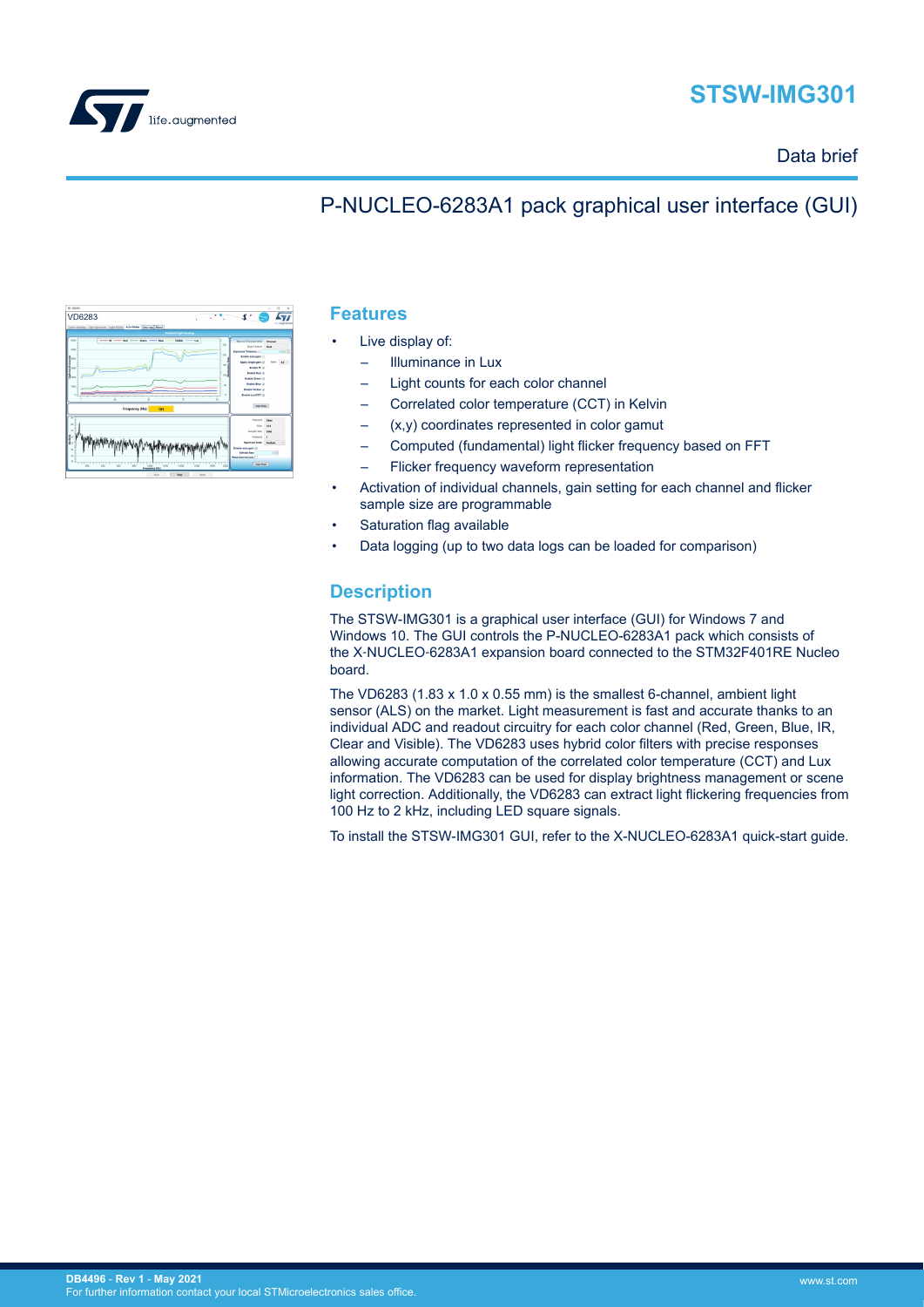



### Data brief

## P-NUCLEO-6283A1 pack graphical user interface (GUI)

| $\Omega$<br>$\times$                                                                                                                                                                                                                                                                                                                                                                            |
|-------------------------------------------------------------------------------------------------------------------------------------------------------------------------------------------------------------------------------------------------------------------------------------------------------------------------------------------------------------------------------------------------|
| ۰<br><b><i>COLOR</i></b>                                                                                                                                                                                                                                                                                                                                                                        |
| <b>Ambient Light Sereing</b><br>Low                                                                                                                                                                                                                                                                                                                                                             |
| Rew or Trimmed data<br><b>Steward</b><br>260<br><b>Data Format</b><br><b>Float</b><br><b>Exposure Time(ms)</b><br>you no i-di<br>$_{xx}$<br>Enable auto-caln III<br>Apply single gain U.<br><b>Galer</b><br>$\mathbf{u}$<br>w<br><b>Enable IR Un</b><br><b>Enable Red Ut</b><br>w<br><b>Enable Green U</b><br><b>Enable Else Un</b><br>$\mathbf{v}$<br>Enable Visible (J)<br>Enable Law/CCT (J) |
| <b>One Plutz</b>                                                                                                                                                                                                                                                                                                                                                                                |
| Channel<br>Clean<br>MA<br><b>Gale</b><br><b>Samula Size</b><br><b>hfull</b><br>Pedestel<br>٠<br>Spectrum Scale<br>Dealback                                                                                                                                                                                                                                                                      |
| Enable auto-gain U<br><b>Before Bate</b><br>$16 - 30$<br>Read Current bakk<br>One Plate<br>220<br>sion                                                                                                                                                                                                                                                                                          |
|                                                                                                                                                                                                                                                                                                                                                                                                 |

#### **Features**

- Live display of:
	- Illuminance in Lux
	- Light counts for each color channel
	- Correlated color temperature (CCT) in Kelvin
	- $(x,y)$  coordinates represented in color gamut
	- Computed (fundamental) light flicker frequency based on FFT
	- Flicker frequency waveform representation
- Activation of individual channels, gain setting for each channel and flicker sample size are programmable
- Saturation flag available
- Data logging (up to two data logs can be loaded for comparison)

### **Description**

The STSW-IMG301 is a graphical user interface (GUI) for Windows 7 and Windows 10. The GUI controls the P-NUCLEO-6283A1 pack which consists of the X‑NUCLEO‑6283A1 expansion board connected to the STM32F401RE Nucleo board.

The VD6283 (1.83 x 1.0 x 0.55 mm) is the smallest 6-channel, ambient light sensor (ALS) on the market. Light measurement is fast and accurate thanks to an individual ADC and readout circuitry for each color channel (Red, Green, Blue, IR, Clear and Visible). The VD6283 uses hybrid color filters with precise responses allowing accurate computation of the correlated color temperature (CCT) and Lux information. The VD6283 can be used for display brightness management or scene light correction. Additionally, the VD6283 can extract light flickering frequencies from 100 Hz to 2 kHz, including LED square signals.

To install the STSW-IMG301 GUI, refer to the X-NUCLEO-6283A1 quick-start guide.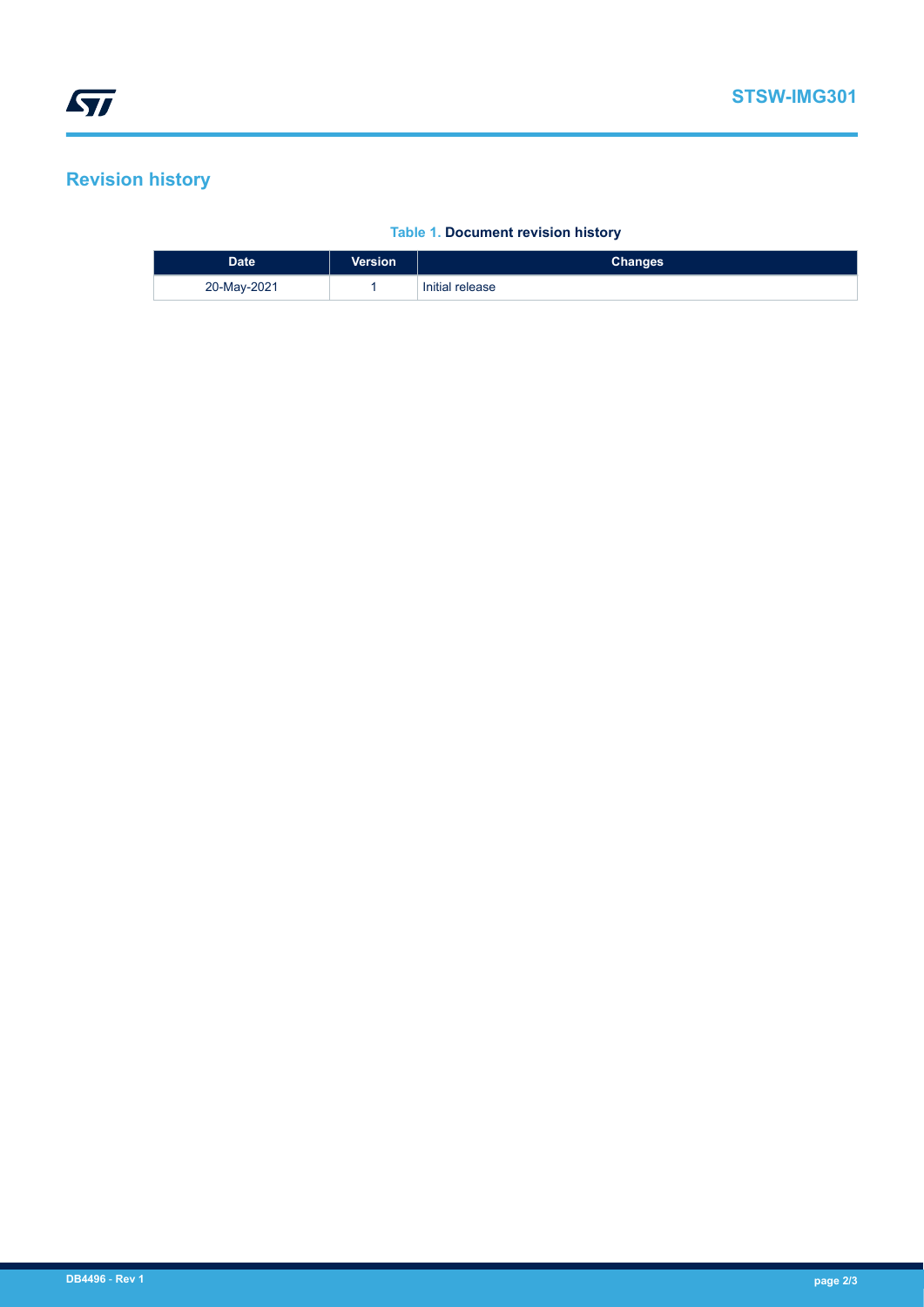# **Revision history**

#### **Table 1. Document revision history**

| <b>Date</b> | <b>Version</b> | <b>Changes</b>  |
|-------------|----------------|-----------------|
| 20-May-2021 |                | Initial release |